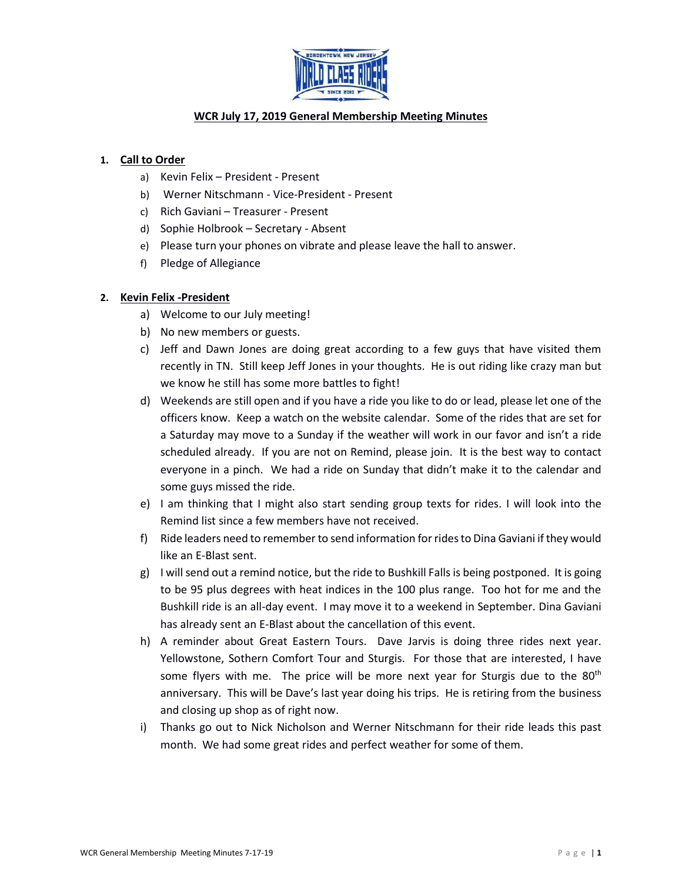

# **WCR July 17, 2019 General Membership Meeting Minutes**

## **1. Call to Order**

- a) Kevin Felix President Present
- b) Werner Nitschmann Vice-President Present
- c) Rich Gaviani Treasurer Present
- d) Sophie Holbrook Secretary Absent
- e) Please turn your phones on vibrate and please leave the hall to answer.
- f) Pledge of Allegiance

### **2. Kevin Felix -President**

- a) Welcome to our July meeting!
- b) No new members or guests.
- c) Jeff and Dawn Jones are doing great according to a few guys that have visited them recently in TN. Still keep Jeff Jones in your thoughts. He is out riding like crazy man but we know he still has some more battles to fight!
- d) Weekends are still open and if you have a ride you like to do or lead, please let one of the officers know. Keep a watch on the website calendar. Some of the rides that are set for a Saturday may move to a Sunday if the weather will work in our favor and isn't a ride scheduled already. If you are not on Remind, please join. It is the best way to contact everyone in a pinch. We had a ride on Sunday that didn't make it to the calendar and some guys missed the ride.
- e) I am thinking that I might also start sending group texts for rides. I will look into the Remind list since a few members have not received.
- f) Ride leaders need to remember to send information for rides to Dina Gaviani if they would like an E-Blast sent.
- g) I will send out a remind notice, but the ride to Bushkill Falls is being postponed. It is going to be 95 plus degrees with heat indices in the 100 plus range. Too hot for me and the Bushkill ride is an all-day event. I may move it to a weekend in September. Dina Gaviani has already sent an E-Blast about the cancellation of this event.
- h) A reminder about Great Eastern Tours. Dave Jarvis is doing three rides next year. Yellowstone, Sothern Comfort Tour and Sturgis. For those that are interested, I have some flyers with me. The price will be more next year for Sturgis due to the  $80<sup>th</sup>$ anniversary. This will be Dave's last year doing his trips. He is retiring from the business and closing up shop as of right now.
- i) Thanks go out to Nick Nicholson and Werner Nitschmann for their ride leads this past month. We had some great rides and perfect weather for some of them.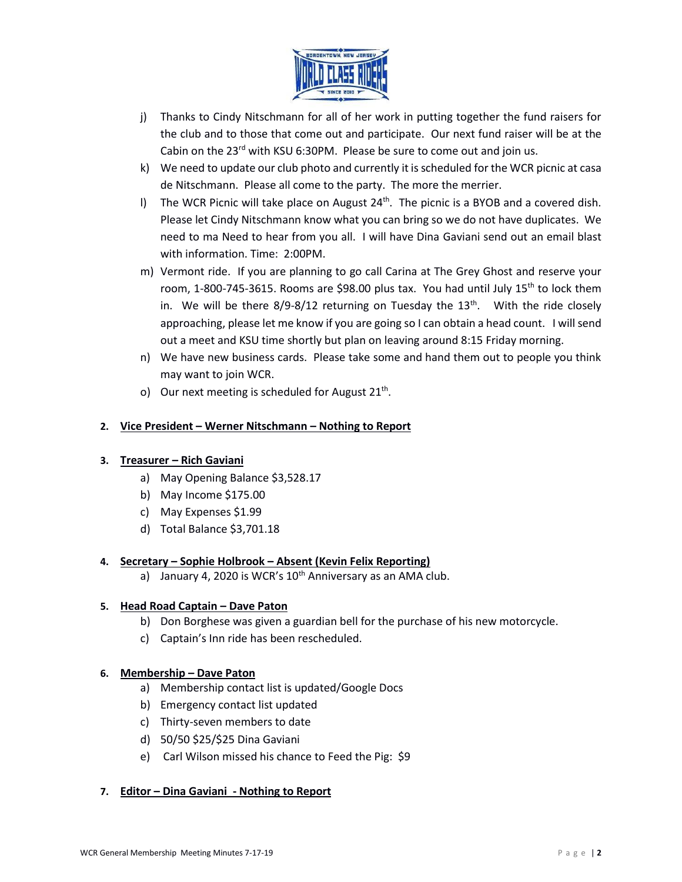

- j) Thanks to Cindy Nitschmann for all of her work in putting together the fund raisers for the club and to those that come out and participate. Our next fund raiser will be at the Cabin on the  $23^{rd}$  with KSU 6:30PM. Please be sure to come out and join us.
- k) We need to update our club photo and currently it is scheduled for the WCR picnic at casa de Nitschmann. Please all come to the party. The more the merrier.
- I) The WCR Picnic will take place on August 24<sup>th</sup>. The picnic is a BYOB and a covered dish. Please let Cindy Nitschmann know what you can bring so we do not have duplicates. We need to ma Need to hear from you all. I will have Dina Gaviani send out an email blast with information. Time: 2:00PM.
- m) Vermont ride. If you are planning to go call Carina at The Grey Ghost and reserve your room, 1-800-745-3615. Rooms are \$98.00 plus tax. You had until July  $15<sup>th</sup>$  to lock them in. We will be there  $8/9$ - $8/12$  returning on Tuesday the  $13<sup>th</sup>$ . With the ride closely approaching, please let me know if you are going so I can obtain a head count. I will send out a meet and KSU time shortly but plan on leaving around 8:15 Friday morning.
- n) We have new business cards. Please take some and hand them out to people you think may want to join WCR.
- o) Our next meeting is scheduled for August  $21<sup>th</sup>$ .

# **2. Vice President – Werner Nitschmann – Nothing to Report**

### **3. Treasurer – Rich Gaviani**

- a) May Opening Balance \$3,528.17
- b) May Income \$175.00
- c) May Expenses \$1.99
- d) Total Balance \$3,701.18

# **4. Secretary – Sophie Holbrook – Absent (Kevin Felix Reporting)**

a) January 4, 2020 is WCR's  $10<sup>th</sup>$  Anniversary as an AMA club.

### **5. Head Road Captain – Dave Paton**

- b) Don Borghese was given a guardian bell for the purchase of his new motorcycle.
- c) Captain's Inn ride has been rescheduled.

### **6. Membership – Dave Paton**

- a) Membership contact list is updated/Google Docs
- b) Emergency contact list updated
- c) Thirty-seven members to date
- d) 50/50 \$25/\$25 Dina Gaviani
- e) Carl Wilson missed his chance to Feed the Pig: \$9

### **7. Editor – Dina Gaviani - Nothing to Report**